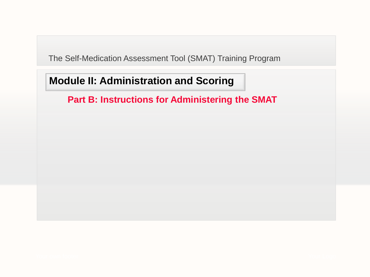# **Module II: Administration and Scoring**

## **Part B: Instructions for Administering the SMAT**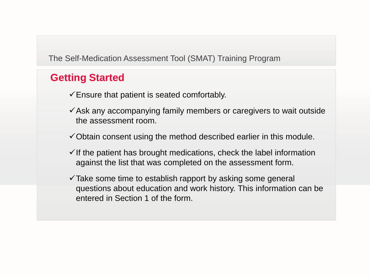## **Getting Started**

- $\checkmark$  Ensure that patient is seated comfortably.
- $\checkmark$  Ask any accompanying family members or caregivers to wait outside the assessment room.
- $\checkmark$  Obtain consent using the method described earlier in this module.
- $\checkmark$  If the patient has brought medications, check the label information against the list that was completed on the assessment form.
- $\checkmark$  Take some time to establish rapport by asking some general questions about education and work history. This information can be entered in Section 1 of the form.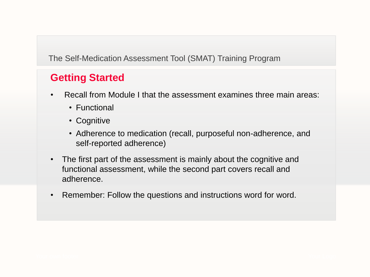# **Getting Started**

- Recall from Module I that the assessment examines three main areas:
	- Functional
	- Cognitive
	- Adherence to medication (recall, purposeful non-adherence, and self-reported adherence)
- The first part of the assessment is mainly about the cognitive and functional assessment, while the second part covers recall and adherence.
- Remember: Follow the questions and instructions word for word.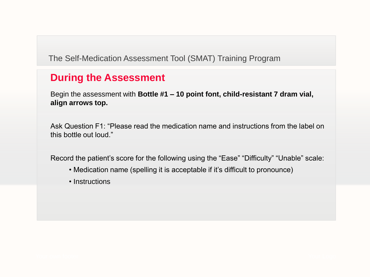# **During the Assessment**

Begin the assessment with **Bottle #1 – 10 point font, child-resistant 7 dram vial, align arrows top.**

Ask Question F1: "Please read the medication name and instructions from the label on this bottle out loud."

Record the patient's score for the following using the "Ease" "Difficulty" "Unable" scale:

- Medication name (spelling it is acceptable if it's difficult to pronounce)
- Instructions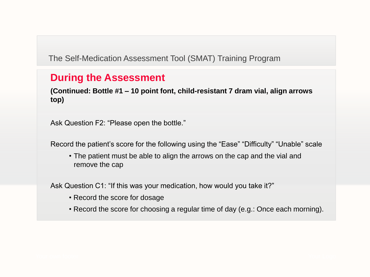#### **During the Assessment**

**(Continued: Bottle #1 – 10 point font, child-resistant 7 dram vial, align arrows top)**

Ask Question F2: "Please open the bottle."

Record the patient's score for the following using the "Ease" "Difficulty" "Unable" scale

• The patient must be able to align the arrows on the cap and the vial and remove the cap

Ask Question C1: "If this was your medication, how would you take it?"

- Record the score for dosage
- Record the score for choosing a regular time of day (e.g.: Once each morning).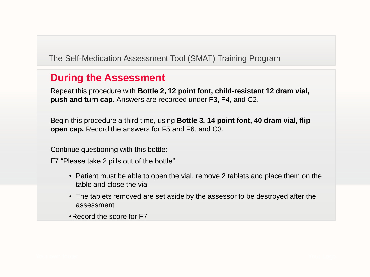## **During the Assessment**

Repeat this procedure with **Bottle 2, 12 point font, child-resistant 12 dram vial, push and turn cap.** Answers are recorded under F3, F4, and C2.

Begin this procedure a third time, using **Bottle 3, 14 point font, 40 dram vial, flip open cap.** Record the answers for F5 and F6, and C3.

Continue questioning with this bottle:

F7 "Please take 2 pills out of the bottle"

- Patient must be able to open the vial, remove 2 tablets and place them on the table and close the vial
- The tablets removed are set aside by the assessor to be destroyed after the assessment

•Record the score for F7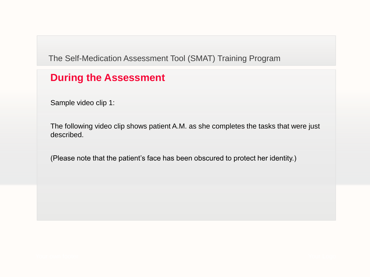## **During the Assessment**

Sample video clip 1:

The following video clip shows patient A.M. as she completes the tasks that were just described.

(Please note that the patient's face has been obscured to protect her identity.)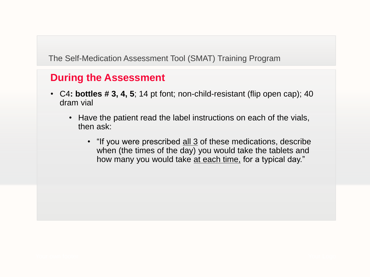- C4**: bottles # 3, 4, 5**; 14 pt font; non-child-resistant (flip open cap); 40 dram vial
	- Have the patient read the label instructions on each of the vials, then ask:
		- "If you were prescribed all 3 of these medications, describe when (the times of the day) you would take the tablets and how many you would take at each time, for a typical day."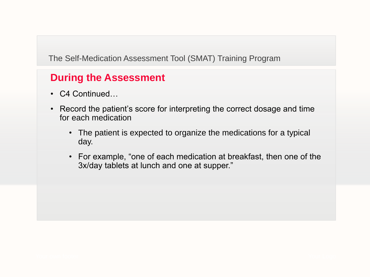- C4 Continued…
- Record the patient's score for interpreting the correct dosage and time for each medication
	- The patient is expected to organize the medications for a typical day.
	- For example, "one of each medication at breakfast, then one of the 3x/day tablets at lunch and one at supper."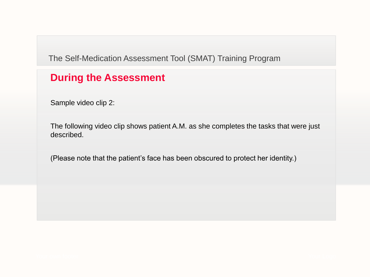## **During the Assessment**

Sample video clip 2:

The following video clip shows patient A.M. as she completes the tasks that were just described.

(Please note that the patient's face has been obscured to protect her identity.)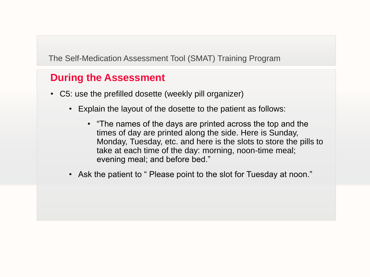- C5: use the prefilled dosette (weekly pill organizer)
	- Explain the layout of the dosette to the patient as follows:
		- "The names of the days are printed across the top and the times of day are printed along the side. Here is Sunday, Monday, Tuesday, etc. and here is the slots to store the pills to take at each time of the day: morning, noon-time meal; evening meal; and before bed."
	- Ask the patient to " Please point to the slot for Tuesday at noon."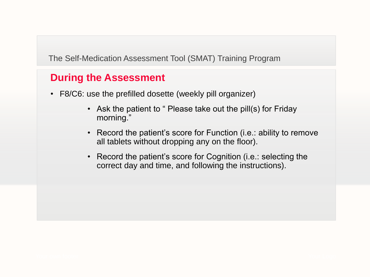- F8/C6: use the prefilled dosette (weekly pill organizer)
	- Ask the patient to " Please take out the pill(s) for Friday morning."
	- Record the patient's score for Function (i.e.: ability to remove all tablets without dropping any on the floor).
	- Record the patient's score for Cognition (i.e.: selecting the correct day and time, and following the instructions).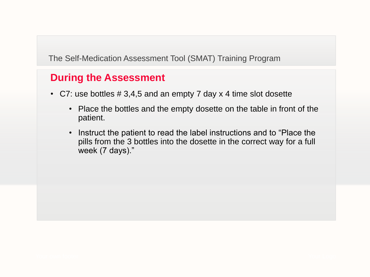- C7: use bottles # 3,4,5 and an empty 7 day x 4 time slot dosette
	- Place the bottles and the empty dosette on the table in front of the patient.
	- Instruct the patient to read the label instructions and to "Place the pills from the 3 bottles into the dosette in the correct way for a full week (7 days)."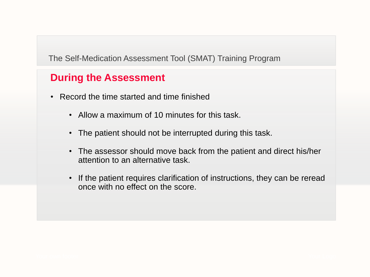- Record the time started and time finished
	- Allow a maximum of 10 minutes for this task.
	- The patient should not be interrupted during this task.
	- The assessor should move back from the patient and direct his/her attention to an alternative task.
	- If the patient requires clarification of instructions, they can be reread once with no effect on the score.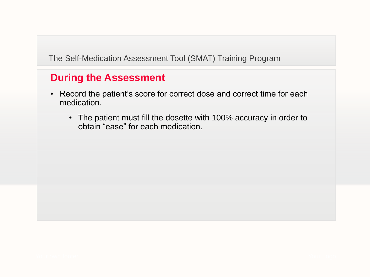- Record the patient's score for correct dose and correct time for each medication.
	- The patient must fill the dosette with 100% accuracy in order to obtain "ease" for each medication.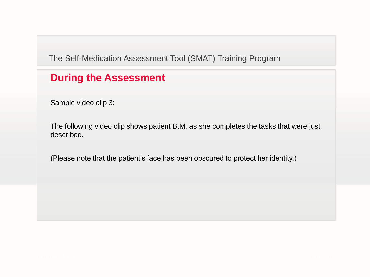## **During the Assessment**

Sample video clip 3:

The following video clip shows patient B.M. as she completes the tasks that were just described.

(Please note that the patient's face has been obscured to protect her identity.)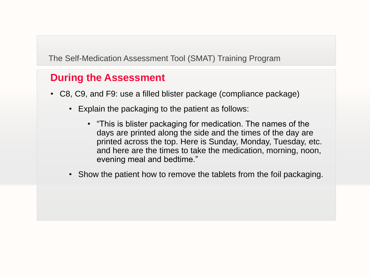- C8, C9, and F9: use a filled blister package (compliance package)
	- Explain the packaging to the patient as follows:
		- "This is blister packaging for medication. The names of the days are printed along the side and the times of the day are printed across the top. Here is Sunday, Monday, Tuesday, etc. and here are the times to take the medication, morning, noon, evening meal and bedtime."
	- Show the patient how to remove the tablets from the foil packaging.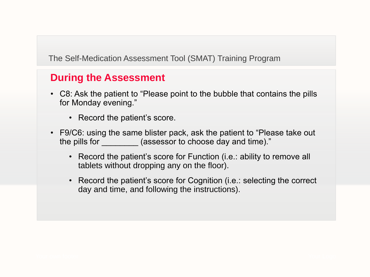- C8: Ask the patient to "Please point to the bubble that contains the pills for Monday evening."
	- Record the patient's score.
- F9/C6: using the same blister pack, ask the patient to "Please take out the pills for **the pills for** (assessor to choose day and time)."
	- Record the patient's score for Function (i.e.: ability to remove all tablets without dropping any on the floor).
	- Record the patient's score for Cognition (i.e.: selecting the correct day and time, and following the instructions).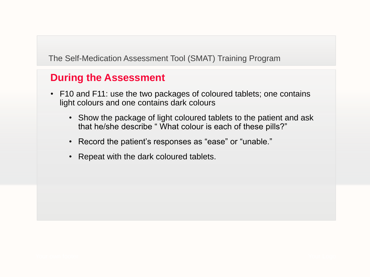- F10 and F11: use the two packages of coloured tablets; one contains light colours and one contains dark colours
	- Show the package of light coloured tablets to the patient and ask that he/she describe " What colour is each of these pills?"
	- Record the patient's responses as "ease" or "unable."
	- Repeat with the dark coloured tablets.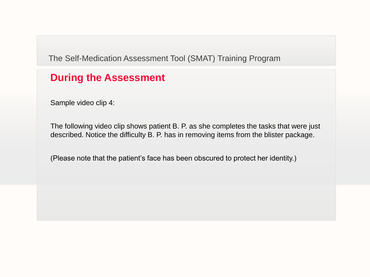#### **During the Assessment**

Sample video clip 4:

The following video clip shows patient B. P. as she completes the tasks that were just described. Notice the difficulty B. P. has in removing items from the blister package.

(Please note that the patient's face has been obscured to protect her identity.)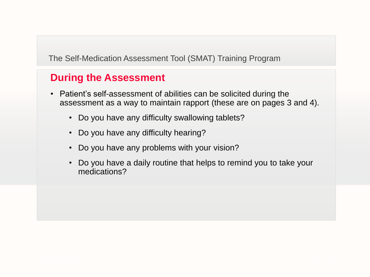- Patient's self-assessment of abilities can be solicited during the assessment as a way to maintain rapport (these are on pages 3 and 4).
	- Do you have any difficulty swallowing tablets?
	- Do you have any difficulty hearing?
	- Do you have any problems with your vision?
	- Do you have a daily routine that helps to remind you to take your medications?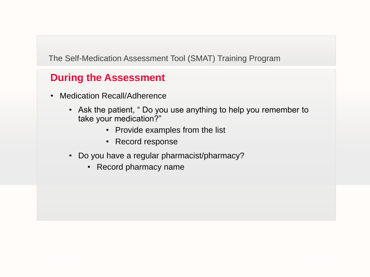- Medication Recall/Adherence
	- Ask the patient, " Do you use anything to help you remember to take your medication?"
		- Provide examples from the list
		- Record response
	- Do you have a regular pharmacist/pharmacy?
		- Record pharmacy name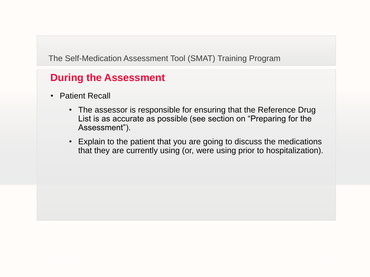- Patient Recall
	- The assessor is responsible for ensuring that the Reference Drug List is as accurate as possible (see section on "Preparing for the Assessment").
	- Explain to the patient that you are going to discuss the medications that they are currently using (or, were using prior to hospitalization).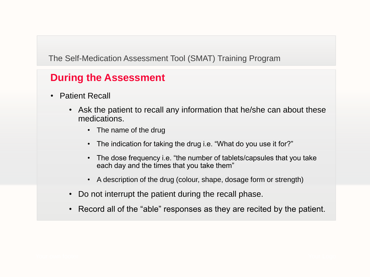- Patient Recall
	- Ask the patient to recall any information that he/she can about these medications.
		- The name of the drug
		- The indication for taking the drug i.e. "What do you use it for?"
		- The dose frequency i.e. "the number of tablets/capsules that you take each day and the times that you take them"
		- A description of the drug (colour, shape, dosage form or strength)
	- Do not interrupt the patient during the recall phase.
	- Record all of the "able" responses as they are recited by the patient.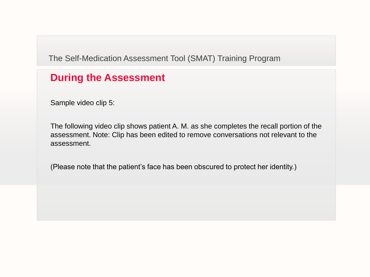#### **During the Assessment**

Sample video clip 5:

The following video clip shows patient A. M. as she completes the recall portion of the assessment. Note: Clip has been edited to remove conversations not relevant to the assessment.

(Please note that the patient's face has been obscured to protect her identity.)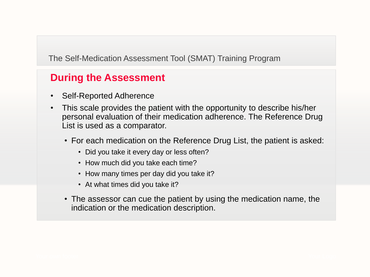- Self-Reported Adherence
- This scale provides the patient with the opportunity to describe his/her personal evaluation of their medication adherence. The Reference Drug List is used as a comparator.
	- For each medication on the Reference Drug List, the patient is asked:
		- Did you take it every day or less often?
		- How much did you take each time?
		- How many times per day did you take it?
		- At what times did you take it?
	- The assessor can cue the patient by using the medication name, the indication or the medication description.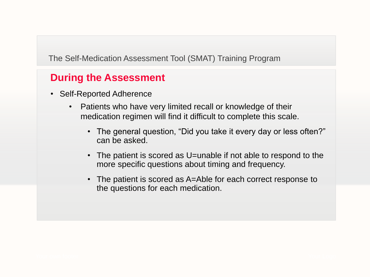- Self-Reported Adherence
	- Patients who have very limited recall or knowledge of their medication regimen will find it difficult to complete this scale.
		- The general question, "Did you take it every day or less often?" can be asked.
		- The patient is scored as U=unable if not able to respond to the more specific questions about timing and frequency.
		- The patient is scored as A=Able for each correct response to the questions for each medication.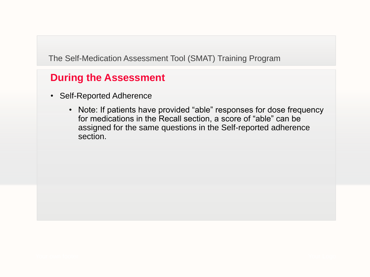- Self-Reported Adherence
	- Note: If patients have provided "able" responses for dose frequency for medications in the Recall section, a score of "able" can be assigned for the same questions in the Self-reported adherence section.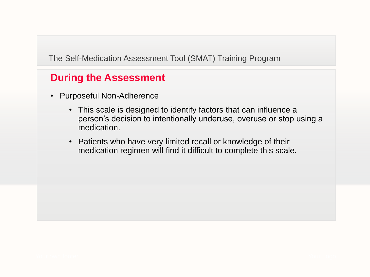- Purposeful Non-Adherence
	- This scale is designed to identify factors that can influence a person's decision to intentionally underuse, overuse or stop using a medication.
	- Patients who have very limited recall or knowledge of their medication regimen will find it difficult to complete this scale.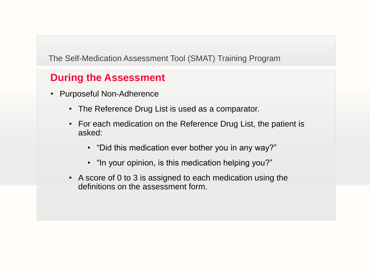- Purposeful Non-Adherence
	- The Reference Drug List is used as a comparator.
	- For each medication on the Reference Drug List, the patient is asked:
		- "Did this medication ever bother you in any way?"
		- "In your opinion, is this medication helping you?"
	- A score of 0 to 3 is assigned to each medication using the definitions on the assessment form.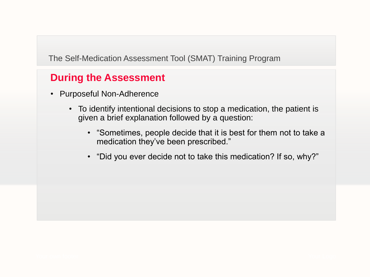- Purposeful Non-Adherence
	- To identify intentional decisions to stop a medication, the patient is given a brief explanation followed by a question:
		- "Sometimes, people decide that it is best for them not to take a medication they've been prescribed."
		- "Did you ever decide not to take this medication? If so, why?"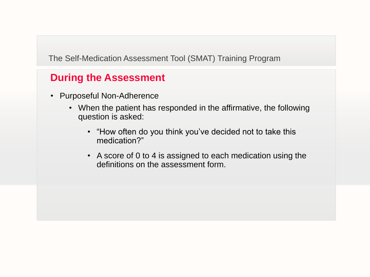- Purposeful Non-Adherence
	- When the patient has responded in the affirmative, the following question is asked:
		- "How often do you think you've decided not to take this medication?"
		- A score of 0 to 4 is assigned to each medication using the definitions on the assessment form.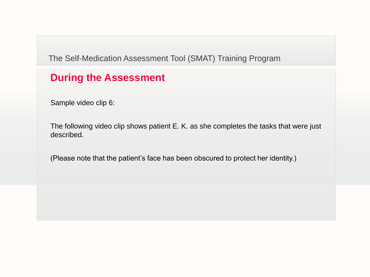## **During the Assessment**

Sample video clip 6:

The following video clip shows patient E. K. as she completes the tasks that were just described.

(Please note that the patient's face has been obscured to protect her identity.)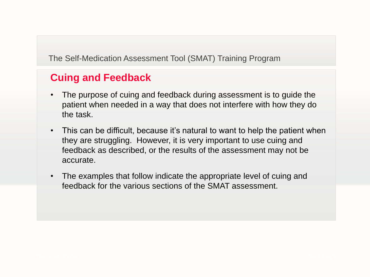- The purpose of cuing and feedback during assessment is to guide the patient when needed in a way that does not interfere with how they do the task.
- This can be difficult, because it's natural to want to help the patient when they are struggling. However, it is very important to use cuing and feedback as described, or the results of the assessment may not be accurate.
- The examples that follow indicate the appropriate level of cuing and feedback for the various sections of the SMAT assessment.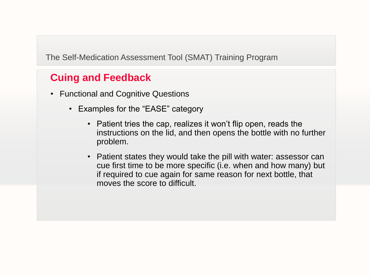- Functional and Cognitive Questions
	- Examples for the "EASE" category
		- Patient tries the cap, realizes it won't flip open, reads the instructions on the lid, and then opens the bottle with no further problem.
		- Patient states they would take the pill with water: assessor can cue first time to be more specific (i.e. when and how many) but if required to cue again for same reason for next bottle, that moves the score to difficult.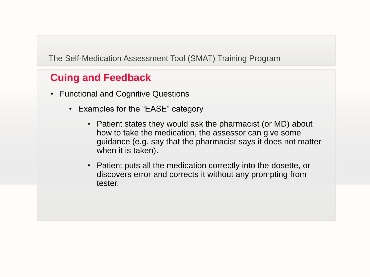- Functional and Cognitive Questions
	- Examples for the "EASE" category
		- Patient states they would ask the pharmacist (or MD) about how to take the medication, the assessor can give some guidance (e.g. say that the pharmacist says it does not matter when it is taken).
		- Patient puts all the medication correctly into the dosette, or discovers error and corrects it without any prompting from tester.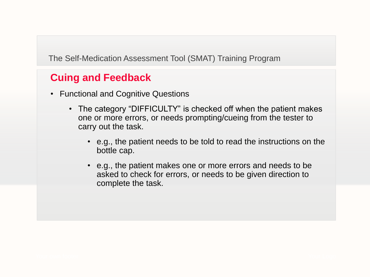- Functional and Cognitive Questions
	- The category "DIFFICULTY" is checked off when the patient makes one or more errors, or needs prompting/cueing from the tester to carry out the task.
		- e.g., the patient needs to be told to read the instructions on the bottle cap.
		- e.g., the patient makes one or more errors and needs to be asked to check for errors, or needs to be given direction to complete the task.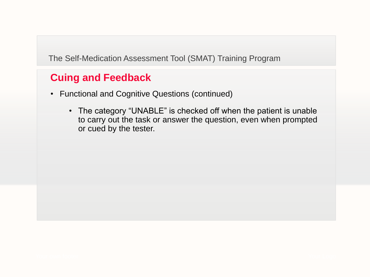- Functional and Cognitive Questions (continued)
	- The category "UNABLE" is checked off when the patient is unable to carry out the task or answer the question, even when prompted or cued by the tester.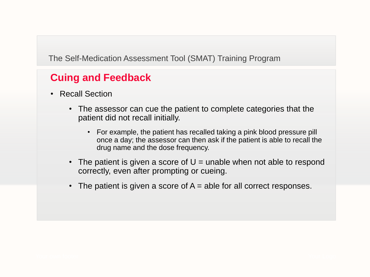- Recall Section
	- The assessor can cue the patient to complete categories that the patient did not recall initially.
		- For example, the patient has recalled taking a pink blood pressure pill once a day; the assessor can then ask if the patient is able to recall the drug name and the dose frequency.
	- The patient is given a score of  $U =$  unable when not able to respond correctly, even after prompting or cueing.
	- The patient is given a score of  $A =$  able for all correct responses.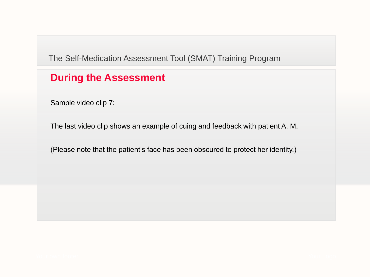## **During the Assessment**

Sample video clip 7:

The last video clip shows an example of cuing and feedback with patient A. M.

(Please note that the patient's face has been obscured to protect her identity.)